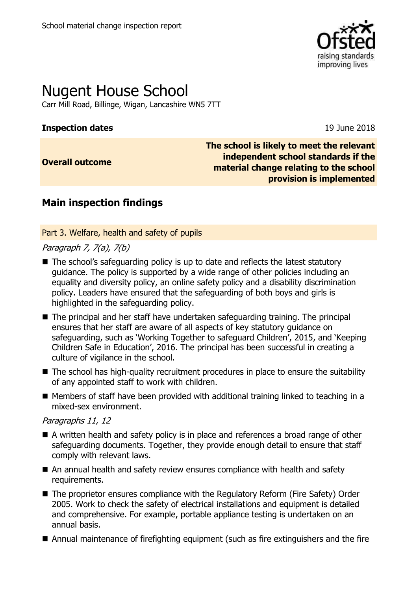

# Nugent House School

Carr Mill Road, Billinge, Wigan, Lancashire WN5 7TT

#### **Inspection dates** 19 June 2018

**Overall outcome**

**The school is likely to meet the relevant independent school standards if the material change relating to the school provision is implemented**

## **Main inspection findings**

Part 3. Welfare, health and safety of pupils

#### Paragraph 7, 7(a), 7(b)

- The school's safeguarding policy is up to date and reflects the latest statutory guidance. The policy is supported by a wide range of other policies including an equality and diversity policy, an online safety policy and a disability discrimination policy. Leaders have ensured that the safeguarding of both boys and girls is highlighted in the safeguarding policy.
- The principal and her staff have undertaken safeguarding training. The principal ensures that her staff are aware of all aspects of key statutory guidance on safeguarding, such as 'Working Together to safeguard Children', 2015, and 'Keeping Children Safe in Education', 2016. The principal has been successful in creating a culture of vigilance in the school.
- The school has high-quality recruitment procedures in place to ensure the suitability of any appointed staff to work with children.
- $\blacksquare$  Members of staff have been provided with additional training linked to teaching in a mixed-sex environment.

#### Paragraphs 11, 12

- A written health and safety policy is in place and references a broad range of other safeguarding documents. Together, they provide enough detail to ensure that staff comply with relevant laws.
- An annual health and safety review ensures compliance with health and safety requirements.
- The proprietor ensures compliance with the Regulatory Reform (Fire Safety) Order 2005. Work to check the safety of electrical installations and equipment is detailed and comprehensive. For example, portable appliance testing is undertaken on an annual basis.
- Annual maintenance of firefighting equipment (such as fire extinguishers and the fire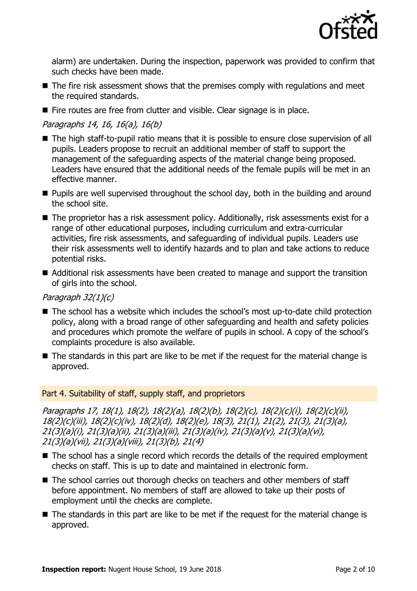

alarm) are undertaken. During the inspection, paperwork was provided to confirm that such checks have been made.

- The fire risk assessment shows that the premises comply with regulations and meet the required standards.
- Fire routes are free from clutter and visible. Clear signage is in place.

#### Paragraphs 14, 16, 16(a), 16(b)

- The high staff-to-pupil ratio means that it is possible to ensure close supervision of all pupils. Leaders propose to recruit an additional member of staff to support the management of the safeguarding aspects of the material change being proposed. Leaders have ensured that the additional needs of the female pupils will be met in an effective manner.
- **Pupils are well supervised throughout the school day, both in the building and around** the school site.
- The proprietor has a risk assessment policy. Additionally, risk assessments exist for a range of other educational purposes, including curriculum and extra-curricular activities, fire risk assessments, and safeguarding of individual pupils. Leaders use their risk assessments well to identify hazards and to plan and take actions to reduce potential risks.
- Additional risk assessments have been created to manage and support the transition of girls into the school.

#### Paragraph 32(1)(c)

- The school has a website which includes the school's most up-to-date child protection policy, along with a broad range of other safeguarding and health and safety policies and procedures which promote the welfare of pupils in school. A copy of the school's complaints procedure is also available.
- The standards in this part are like to be met if the request for the material change is approved.

#### Part 4. Suitability of staff, supply staff, and proprietors

Paragraphs 17, 18(1), 18(2), 18(2)(a), 18(2)(b), 18(2)(c), 18(2)(c)(i), 18(2)(c)(ii), 18(2)(c)(iii), 18(2)(c)(iv), 18(2)(d), 18(2)(e), 18(3), 21(1), 21(2), 21(3), 21(3)(a), 21(3)(a)(i), 21(3)(a)(ii), 21(3)(a)(iii), 21(3)(a)(iv), 21(3)(a)(v), 21(3)(a)(vi), 21(3)(a)(vii), 21(3)(a)(viii), 21(3)(b), 21(4)

- The school has a single record which records the details of the required employment checks on staff. This is up to date and maintained in electronic form.
- The school carries out thorough checks on teachers and other members of staff before appointment. No members of staff are allowed to take up their posts of employment until the checks are complete.
- The standards in this part are like to be met if the request for the material change is approved.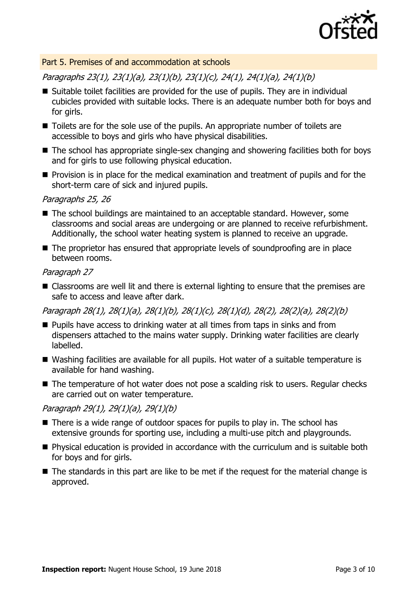

#### Part 5. Premises of and accommodation at schools

Paragraphs 23(1), 23(1)(a), 23(1)(b), 23(1)(c), 24(1), 24(1)(a), 24(1)(b)

- Suitable toilet facilities are provided for the use of pupils. They are in individual cubicles provided with suitable locks. There is an adequate number both for boys and for girls.
- Toilets are for the sole use of the pupils. An appropriate number of toilets are accessible to boys and girls who have physical disabilities.
- The school has appropriate single-sex changing and showering facilities both for boys and for girls to use following physical education.
- $\blacksquare$  Provision is in place for the medical examination and treatment of pupils and for the short-term care of sick and injured pupils.

#### Paragraphs 25, 26

- The school buildings are maintained to an acceptable standard. However, some classrooms and social areas are undergoing or are planned to receive refurbishment. Additionally, the school water heating system is planned to receive an upgrade.
- The proprietor has ensured that appropriate levels of soundproofing are in place between rooms.

#### Paragraph 27

■ Classrooms are well lit and there is external lighting to ensure that the premises are safe to access and leave after dark.

Paragraph 28(1), 28(1)(a), 28(1)(b), 28(1)(c), 28(1)(d), 28(2), 28(2)(a), 28(2)(b)

- **Pupils have access to drinking water at all times from taps in sinks and from** dispensers attached to the mains water supply. Drinking water facilities are clearly labelled.
- Washing facilities are available for all pupils. Hot water of a suitable temperature is available for hand washing.
- The temperature of hot water does not pose a scalding risk to users. Regular checks are carried out on water temperature.

#### Paragraph 29(1), 29(1)(a), 29(1)(b)

- There is a wide range of outdoor spaces for pupils to play in. The school has extensive grounds for sporting use, including a multi-use pitch and playgrounds.
- Physical education is provided in accordance with the curriculum and is suitable both for boys and for girls.
- The standards in this part are like to be met if the request for the material change is approved.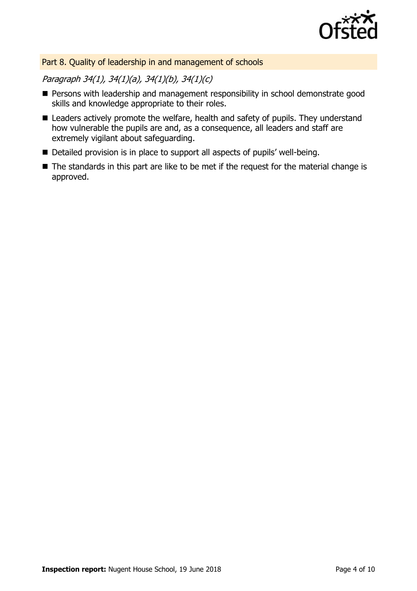

#### Part 8. Quality of leadership in and management of schools

### Paragraph 34(1), 34(1)(a), 34(1)(b), 34(1)(c)

- **Persons with leadership and management responsibility in school demonstrate good** skills and knowledge appropriate to their roles.
- Leaders actively promote the welfare, health and safety of pupils. They understand how vulnerable the pupils are and, as a consequence, all leaders and staff are extremely vigilant about safeguarding.
- Detailed provision is in place to support all aspects of pupils' well-being.
- The standards in this part are like to be met if the request for the material change is approved.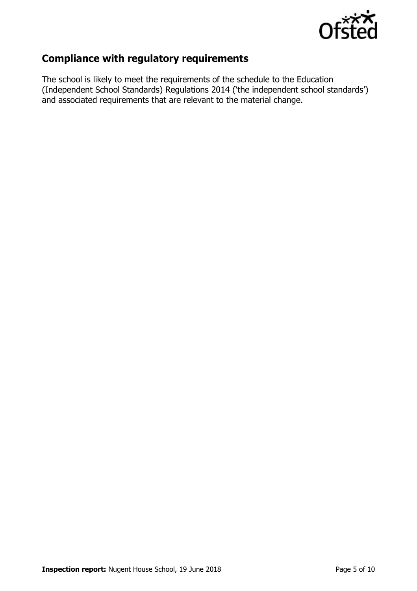

## **Compliance with regulatory requirements**

The school is likely to meet the requirements of the schedule to the Education (Independent School Standards) Regulations 2014 ('the independent school standards') and associated requirements that are relevant to the material change.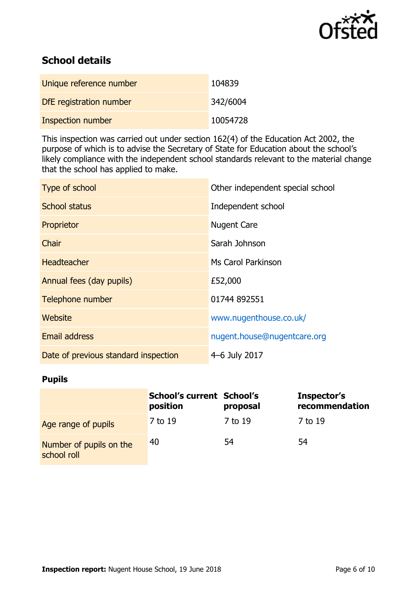

## **School details**

| Unique reference number  | 104839   |
|--------------------------|----------|
| DfE registration number  | 342/6004 |
| <b>Inspection number</b> | 10054728 |

This inspection was carried out under section 162(4) of the Education Act 2002, the purpose of which is to advise the Secretary of State for Education about the school's likely compliance with the independent school standards relevant to the material change that the school has applied to make.

| Type of school                       | Other independent special school |
|--------------------------------------|----------------------------------|
| <b>School status</b>                 | Independent school               |
| Proprietor                           | <b>Nugent Care</b>               |
| Chair                                | Sarah Johnson                    |
| <b>Headteacher</b>                   | <b>Ms Carol Parkinson</b>        |
| Annual fees (day pupils)             | £52,000                          |
| Telephone number                     | 01744 892551                     |
| Website                              | www.nugenthouse.co.uk/           |
| <b>Email address</b>                 | nugent.house@nugentcare.org      |
| Date of previous standard inspection | 4-6 July 2017                    |

#### **Pupils**

|                                        | <b>School's current School's</b><br>position | proposal | Inspector's<br>recommendation |
|----------------------------------------|----------------------------------------------|----------|-------------------------------|
| Age range of pupils                    | 7 to 19                                      | 7 to 19  | 7 to 19                       |
| Number of pupils on the<br>school roll | 40                                           | 54       | 54                            |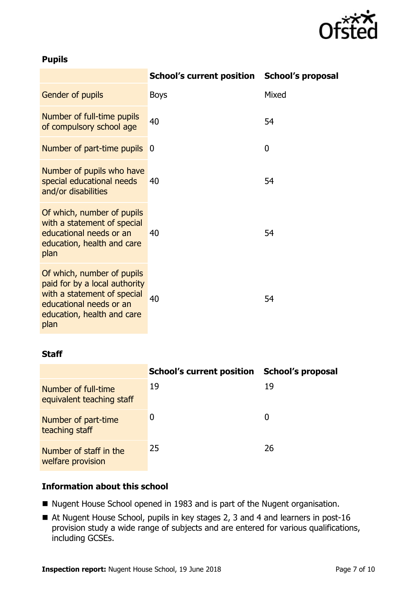

#### **Pupils**

|                                                                                                                                                             | School's current position School's proposal |       |
|-------------------------------------------------------------------------------------------------------------------------------------------------------------|---------------------------------------------|-------|
| Gender of pupils                                                                                                                                            | <b>Boys</b>                                 | Mixed |
| Number of full-time pupils<br>of compulsory school age                                                                                                      | 40                                          | 54    |
| Number of part-time pupils                                                                                                                                  | 0                                           | 0     |
| Number of pupils who have<br>special educational needs<br>and/or disabilities                                                                               | 40                                          | 54    |
| Of which, number of pupils<br>with a statement of special<br>educational needs or an<br>education, health and care<br>plan                                  | 40                                          | 54    |
| Of which, number of pupils<br>paid for by a local authority<br>with a statement of special<br>educational needs or an<br>education, health and care<br>plan | 40                                          | 54    |

#### **Staff**

|                                                  | <b>School's current position</b> | <b>School's proposal</b> |
|--------------------------------------------------|----------------------------------|--------------------------|
| Number of full-time<br>equivalent teaching staff | 19                               | 19                       |
| Number of part-time<br>teaching staff            | 0                                | $\mathbf{0}$             |
| Number of staff in the<br>welfare provision      | 25                               | 26                       |

#### **Information about this school**

- Nugent House School opened in 1983 and is part of the Nugent organisation.
- At Nugent House School, pupils in key stages 2, 3 and 4 and learners in post-16 provision study a wide range of subjects and are entered for various qualifications, including GCSEs.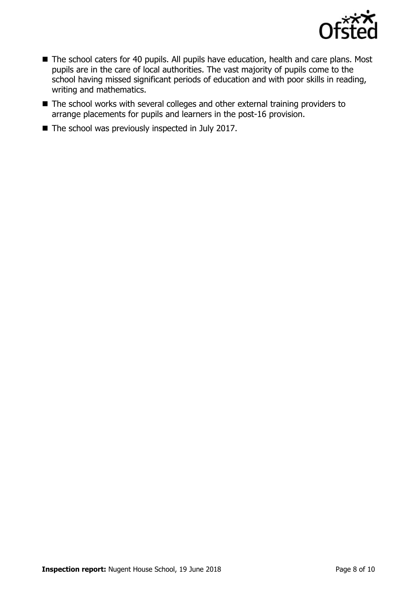

- The school caters for 40 pupils. All pupils have education, health and care plans. Most pupils are in the care of local authorities. The vast majority of pupils come to the school having missed significant periods of education and with poor skills in reading, writing and mathematics.
- The school works with several colleges and other external training providers to arrange placements for pupils and learners in the post-16 provision.
- $\blacksquare$  The school was previously inspected in July 2017.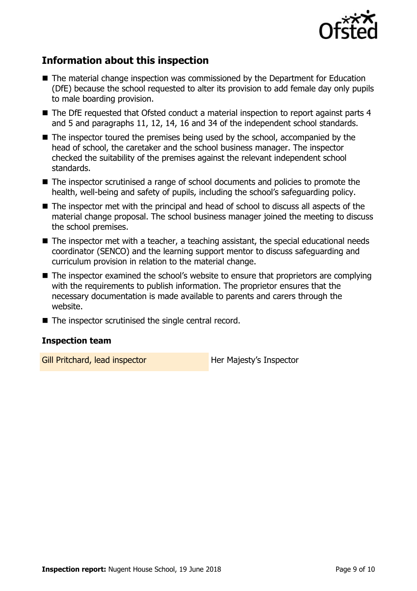

## **Information about this inspection**

- The material change inspection was commissioned by the Department for Education (DfE) because the school requested to alter its provision to add female day only pupils to male boarding provision.
- The DfE requested that Ofsted conduct a material inspection to report against parts 4 and 5 and paragraphs 11, 12, 14, 16 and 34 of the independent school standards.
- $\blacksquare$  The inspector toured the premises being used by the school, accompanied by the head of school, the caretaker and the school business manager. The inspector checked the suitability of the premises against the relevant independent school standards.
- The inspector scrutinised a range of school documents and policies to promote the health, well-being and safety of pupils, including the school's safeguarding policy.
- The inspector met with the principal and head of school to discuss all aspects of the material change proposal. The school business manager joined the meeting to discuss the school premises.
- The inspector met with a teacher, a teaching assistant, the special educational needs coordinator (SENCO) and the learning support mentor to discuss safeguarding and curriculum provision in relation to the material change.
- The inspector examined the school's website to ensure that proprietors are complying with the requirements to publish information. The proprietor ensures that the necessary documentation is made available to parents and carers through the website.
- $\blacksquare$  The inspector scrutinised the single central record.

#### **Inspection team**

Gill Pritchard, lead inspector **Her Majesty's Inspector**